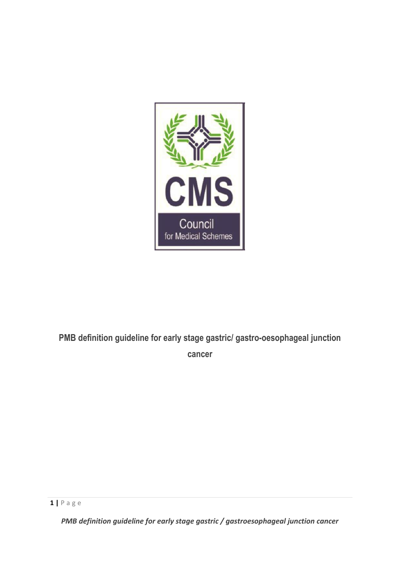

# **PMB definition guideline for early stage gastric/ gastro-oesophageal junction cancer**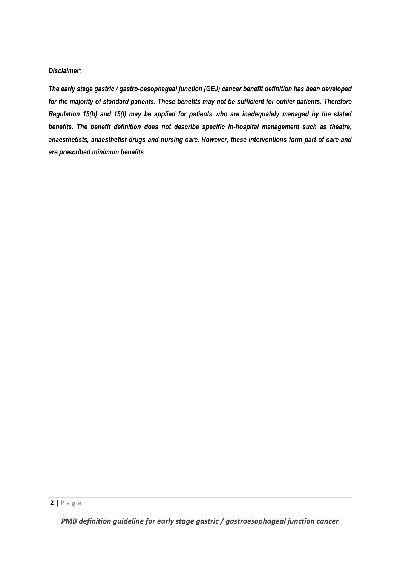#### *Disclaimer:*

*The early stage gastric / gastro-oesophageal junction (GEJ) cancer benefit definition has been developed for the majority of standard patients. These benefits may not be sufficient for outlier patients. Therefore Regulation 15(h) and 15(I) may be applied for patients who are inadequately managed by the stated benefits. The benefit definition does not describe specific in-hospital management such as theatre, anaesthetists, anaesthetist drugs and nursing care. However, these interventions form part of care and are prescribed minimum benefits*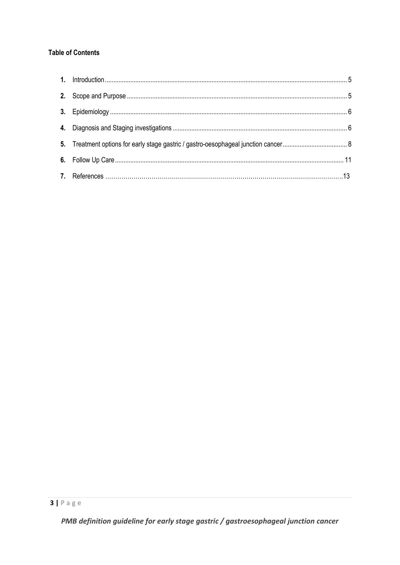# **Table of Contents**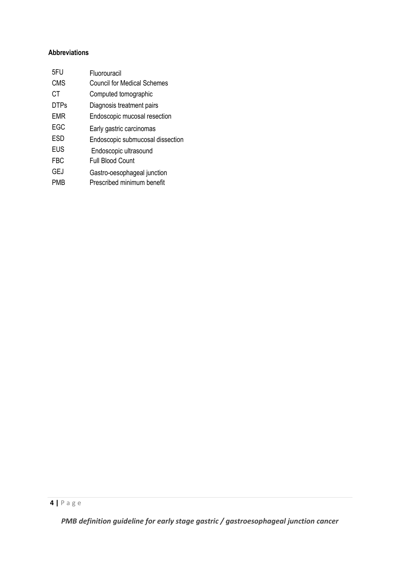# **Abbreviations**

| 5FU         | Fluorouracil                       |
|-------------|------------------------------------|
| <b>CMS</b>  | <b>Council for Medical Schemes</b> |
| СT          | Computed tomographic               |
| <b>DTPs</b> | Diagnosis treatment pairs          |
| <b>EMR</b>  | Endoscopic mucosal resection       |
| EGC         | Early gastric carcinomas           |
| <b>ESD</b>  | Endoscopic submucosal dissection   |
| <b>EUS</b>  | Endoscopic ultrasound              |
| <b>FBC</b>  | <b>Full Blood Count</b>            |
| <b>GEJ</b>  | Gastro-oesophageal junction        |
| PMB         | Prescribed minimum benefit         |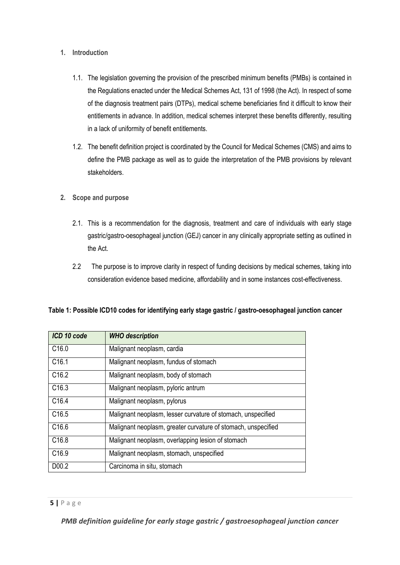- **1. Introduction** 
	- 1.1. The legislation governing the provision of the prescribed minimum benefits (PMBs) is contained in the Regulations enacted under the Medical Schemes Act, 131 of 1998 (the Act). In respect of some of the diagnosis treatment pairs (DTPs), medical scheme beneficiaries find it difficult to know their entitlements in advance. In addition, medical schemes interpret these benefits differently, resulting in a lack of uniformity of benefit entitlements.
	- 1.2. The benefit definition project is coordinated by the Council for Medical Schemes (CMS) and aims to define the PMB package as well as to guide the interpretation of the PMB provisions by relevant stakeholders.
- **2. Scope and purpose**
	- 2.1. This is a recommendation for the diagnosis, treatment and care of individuals with early stage gastric/gastro-oesophageal junction (GEJ) cancer in any clinically appropriate setting as outlined in the Act.
	- 2.2 The purpose is to improve clarity in respect of funding decisions by medical schemes, taking into consideration evidence based medicine, affordability and in some instances cost-effectiveness.

| ICD 10 code       | <b>WHO</b> description                                        |
|-------------------|---------------------------------------------------------------|
| C <sub>16.0</sub> | Malignant neoplasm, cardia                                    |
| C <sub>16.1</sub> | Malignant neoplasm, fundus of stomach                         |
| C <sub>16.2</sub> | Malignant neoplasm, body of stomach                           |
| C <sub>16.3</sub> | Malignant neoplasm, pyloric antrum                            |
| C <sub>16.4</sub> | Malignant neoplasm, pylorus                                   |
| C <sub>16.5</sub> | Malignant neoplasm, lesser curvature of stomach, unspecified  |
| C <sub>16.6</sub> | Malignant neoplasm, greater curvature of stomach, unspecified |
| C <sub>16.8</sub> | Malignant neoplasm, overlapping lesion of stomach             |
| C <sub>16.9</sub> | Malignant neoplasm, stomach, unspecified                      |
| D00.2             | Carcinoma in situ, stomach                                    |

#### **Table 1: Possible ICD10 codes for identifying early stage gastric / gastro-oesophageal junction cancer**

### **5 |** P a g e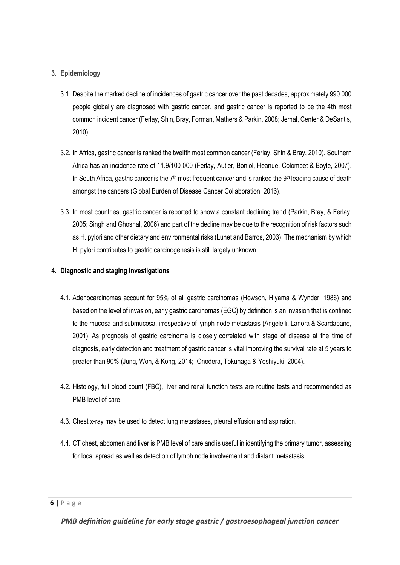#### **3. Epidemiology**

- 3.1. Despite the marked decline of incidences of gastric cancer over the past decades, approximately 990 000 people globally are diagnosed with gastric cancer, and gastric cancer is reported to be the 4th most common incident cancer (Ferlay, Shin, Bray, Forman, Mathers & Parkin, 2008; Jemal, Center & DeSantis, 2010).
- 3.2. In Africa, gastric cancer is ranked the twelfth most common cancer (Ferlay, Shin & Bray, 2010). Southern Africa has an incidence rate of 11.9/100 000 (Ferlay, Autier, Boniol, Heanue, Colombet & Boyle, 2007). In South Africa, gastric cancer is the  $7<sup>th</sup>$  most frequent cancer and is ranked the 9<sup>th</sup> leading cause of death amongst the cancers (Global Burden of Disease Cancer Collaboration, 2016).
- 3.3. In most countries, gastric cancer is reported to show a constant declining trend (Parkin, Bray, & Ferlay, 2005; Singh and Ghoshal, 2006) and part of the decline may be due to the recognition of risk factors such as H. pylori and other dietary and environmental risks (Lunet and Barros, 2003). The mechanism by which H. pylori contributes to gastric carcinogenesis is still largely unknown.

#### **4. Diagnostic and staging investigations**

- 4.1. Adenocarcinomas account for 95% of all gastric carcinomas (Howson, Hiyama & Wynder, 1986) and based on the level of invasion, early gastric carcinomas (EGC) by definition is an invasion that is confined to the mucosa and submucosa, irrespective of lymph node metastasis (Angelelli, Lanora & Scardapane, 2001). As prognosis of gastric carcinoma is closely correlated with stage of disease at the time of diagnosis, early detection and treatment of gastric cancer is vital improving the survival rate at 5 years to greater than 90% (Jung, Won, & Kong, 2014; Onodera, Tokunaga & Yoshiyuki, 2004).
- 4.2. Histology, full blood count (FBC), liver and renal function tests are routine tests and recommended as PMB level of care.
- 4.3. Chest x-ray may be used to detect lung metastases, pleural effusion and aspiration.
- 4.4. CT chest, abdomen and liver is PMB level of care and is useful in identifying the primary tumor, assessing for local spread as well as detection of lymph node involvement and distant metastasis.

**<sup>6</sup> |** P a g e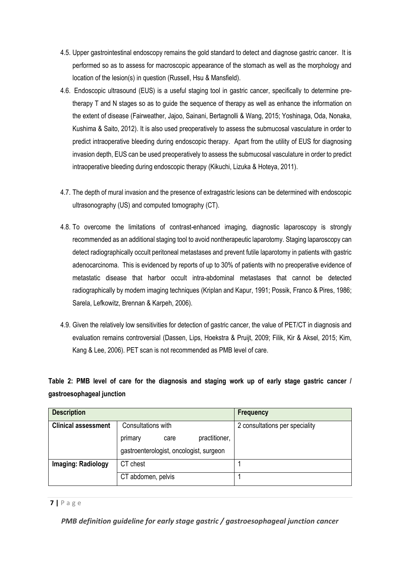- 4.5. Upper gastrointestinal endoscopy remains the gold standard to detect and diagnose gastric cancer. It is performed so as to assess for macroscopic appearance of the stomach as well as the morphology and location of the lesion(s) in question (Russell, Hsu & Mansfield).
- 4.6. Endoscopic ultrasound (EUS) is a useful staging tool in gastric cancer, specifically to determine pretherapy T and N stages so as to guide the sequence of therapy as well as enhance the information on the extent of disease (Fairweather, Jajoo, Sainani, Bertagnolli & Wang, 2015; Yoshinaga, Oda, Nonaka, Kushima & Saito, 2012). It is also used preoperatively to assess the submucosal vasculature in order to predict intraoperative bleeding during endoscopic therapy. Apart from the utility of EUS for diagnosing invasion depth, EUS can be used preoperatively to assess the submucosal vasculature in order to predict intraoperative bleeding during endoscopic therapy (Kikuchi, Lizuka & Hoteya, 2011).
- 4.7. The depth of mural invasion and the presence of extragastric lesions can be determined with endoscopic ultrasonography (US) and computed tomography (CT).
- 4.8. To overcome the limitations of contrast-enhanced imaging, diagnostic laparoscopy is strongly recommended as an additional staging tool to avoid nontherapeutic laparotomy. Staging laparoscopy can detect radiographically occult peritoneal metastases and prevent futile laparotomy in patients with gastric adenocarcinoma. This is evidenced by reports of up to 30% of patients with no preoperative evidence of metastatic disease that harbor occult intra-abdominal metastases that cannot be detected radiographically by modern imaging techniques (Kriplan and Kapur, 1991; Possik, Franco & Pires, 1986; Sarela, Lefkowitz, Brennan & Karpeh, 2006).
- 4.9. Given the relatively low sensitivities for detection of gastric cancer, the value of PET/CT in diagnosis and evaluation remains controversial (Dassen, Lips, Hoekstra & Pruijt, 2009; Filik, Kir & Aksel, 2015; Kim, Kang & Lee, 2006). PET scan is not recommended as PMB level of care.

# **Table 2: PMB level of care for the diagnosis and staging work up of early stage gastric cancer / gastroesophageal junction**

| <b>Description</b>         |                                         | <b>Frequency</b>               |
|----------------------------|-----------------------------------------|--------------------------------|
| <b>Clinical assessment</b> | Consultations with                      | 2 consultations per speciality |
|                            | practitioner,<br>primary<br>care        |                                |
|                            | gastroenterologist, oncologist, surgeon |                                |
| <b>Imaging: Radiology</b>  | CT chest                                |                                |
|                            | CT abdomen, pelvis                      |                                |

#### **7 |** P a g e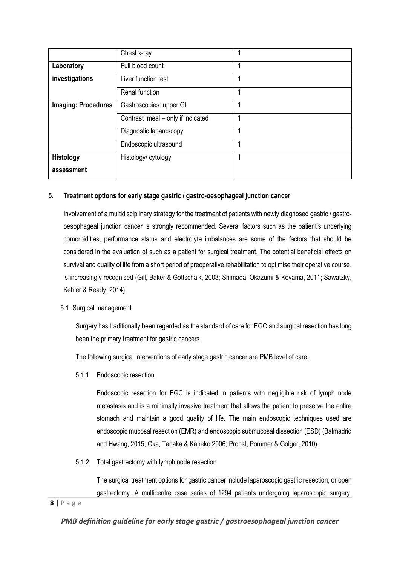|                            | Chest x-ray                       |  |
|----------------------------|-----------------------------------|--|
| Laboratory                 | Full blood count                  |  |
| investigations             | Liver function test               |  |
|                            | Renal function                    |  |
| <b>Imaging: Procedures</b> | Gastroscopies: upper GI           |  |
|                            | Contrast meal - only if indicated |  |
|                            | Diagnostic laparoscopy            |  |
|                            | Endoscopic ultrasound             |  |
| <b>Histology</b>           | Histology/ cytology               |  |
| assessment                 |                                   |  |

#### **5. Treatment options for early stage gastric / gastro-oesophageal junction cancer**

Involvement of a multidisciplinary strategy for the treatment of patients with newly diagnosed gastric / gastrooesophageal junction cancer is strongly recommended. Several factors such as the patient's underlying comorbidities, performance status and electrolyte imbalances are some of the factors that should be considered in the evaluation of such as a patient for surgical treatment. The potential beneficial effects on survival and quality of life from a short period of preoperative rehabilitation to optimise their operative course, is increasingly recognised (Gill, Baker & Gottschalk, 2003; Shimada, Okazumi & Koyama, 2011; Sawatzky, Kehler & Ready, 2014).

#### 5.1. Surgical management

Surgery has traditionally been regarded as the standard of care for EGC and surgical resection has long been the primary treatment for gastric cancers.

The following surgical interventions of early stage gastric cancer are PMB level of care:

5.1.1. Endoscopic resection

Endoscopic resection for EGC is indicated in patients with negligible risk of lymph node metastasis and is a minimally invasive treatment that allows the patient to preserve the entire stomach and maintain a good quality of life. The main endoscopic techniques used are endoscopic mucosal resection (EMR) and endoscopic submucosal dissection (ESD) (Balmadrid and Hwang, 2015; Oka, Tanaka & Kaneko,2006; Probst, Pommer & Golger, 2010).

5.1.2. Total gastrectomy with lymph node resection

The surgical treatment options for gastric cancer include laparoscopic gastric resection, or open gastrectomy. A multicentre case series of 1294 patients undergoing laparoscopic surgery,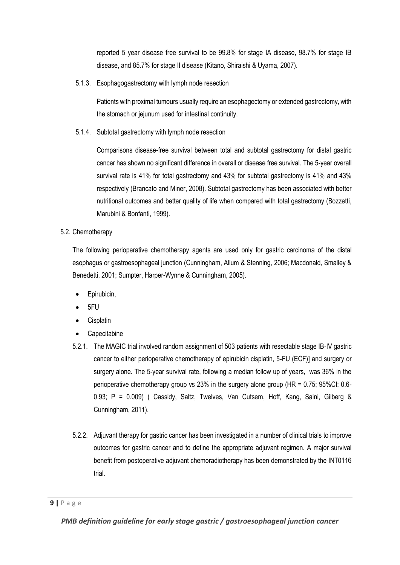reported 5 year disease free survival to be 99.8% for stage IA disease, 98.7% for stage IB disease, and 85.7% for stage II disease (Kitano, Shiraishi & Uyama, 2007).

5.1.3. Esophagogastrectomy with lymph node resection

Patients with proximal tumours usually require an esophagectomy or extended gastrectomy, with the stomach or jejunum used for intestinal continuity.

5.1.4. Subtotal gastrectomy with lymph node resection

Comparisons disease-free survival between total and subtotal gastrectomy for distal gastric cancer has shown no significant difference in overall or disease free survival. The 5-year overall survival rate is 41% for total gastrectomy and 43% for subtotal gastrectomy is 41% and 43% respectively (Brancato and Miner, 2008). Subtotal gastrectomy has been associated with better nutritional outcomes and better quality of life when compared with total gastrectomy (Bozzetti, Marubini & Bonfanti, 1999).

5.2. Chemotherapy

The following perioperative chemotherapy agents are used only for gastric carcinoma of the distal esophagus or gastroesophageal junction (Cunningham, Allum & Stenning, 2006; Macdonald, Smalley & Benedetti, 2001; Sumpter, Harper-Wynne & Cunningham, 2005).

- Epirubicin,
- 5FU
- **Cisplatin**
- **Capecitabine**
- 5.2.1. The MAGIC trial involved random assignment of 503 patients with resectable stage IB-IV gastric cancer to either perioperative chemotherapy of epirubicin cisplatin, 5-FU (ECF)] and surgery or surgery alone. The 5-year survival rate, following a median follow up of years, was 36% in the perioperative chemotherapy group vs 23% in the surgery alone group (HR = 0.75; 95%CI: 0.6- 0.93; P = 0.009) ( Cassidy, Saltz, Twelves, Van Cutsem, Hoff, Kang, Saini, Gilberg & Cunningham, 2011).
- 5.2.2. Adjuvant therapy for gastric cancer has been investigated in a number of clinical trials to improve outcomes for gastric cancer and to define the appropriate adjuvant regimen. A major survival benefit from postoperative adjuvant chemoradiotherapy has been demonstrated by the INT0116 trial.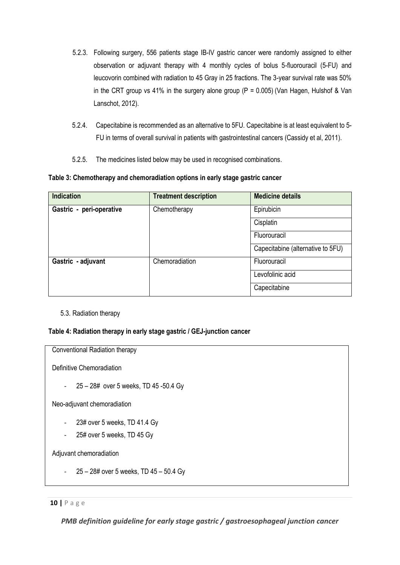- 5.2.3. Following surgery, 556 patients stage IB-IV gastric cancer were randomly assigned to either observation or adjuvant therapy with 4 monthly cycles of bolus 5-fluorouracil (5-FU) and leucovorin combined with radiation to 45 Gray in 25 fractions. The 3-year survival rate was 50% in the CRT group vs 41% in the surgery alone group ( $P = 0.005$ ) (Van Hagen, Hulshof & Van Lanschot, 2012).
- 5.2.4. Capecitabine is recommended as an alternative to 5FU. Capecitabine is at least equivalent to 5- FU in terms of overall survival in patients with gastrointestinal cancers (Cassidy et al, 2011).
- 5.2.5. The medicines listed below may be used in recognised combinations.

**Table 3: Chemotherapy and chemoradiation options in early stage gastric cancer**

| <b>Indication</b>        | <b>Treatment description</b> | <b>Medicine details</b>           |
|--------------------------|------------------------------|-----------------------------------|
| Gastric - peri-operative | Epirubicin<br>Chemotherapy   |                                   |
|                          |                              | Cisplatin                         |
|                          |                              | Fluorouracil                      |
|                          |                              | Capecitabine (alternative to 5FU) |
| Gastric - adjuvant       | Chemoradiation               | Fluorouracil                      |
|                          |                              | Levofolinic acid                  |
|                          |                              | Capecitabine                      |

#### 5.3. Radiation therapy

#### **Table 4: Radiation therapy in early stage gastric / GEJ-junction cancer**

Conventional Radiation therapy

Definitive Chemoradiation

- 25 – 28# over 5 weeks, TD 45 -50.4 Gy

Neo-adjuvant chemoradiation

- 23# over 5 weeks, TD 41.4 Gy
- 25# over 5 weeks, TD 45 Gy

Adjuvant chemoradiation

- 25 – 28# over 5 weeks, TD 45 – 50.4 Gy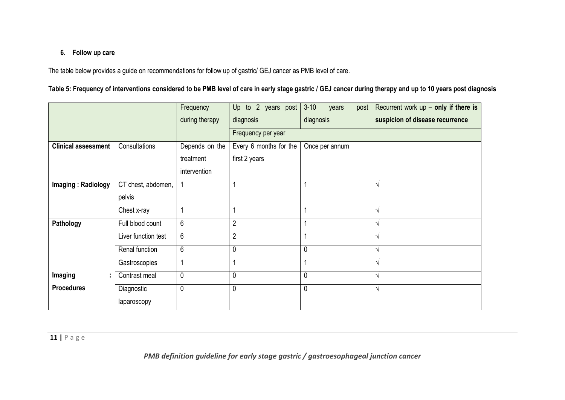### **6. Follow up care**

The table below provides a guide on recommendations for follow up of gastric/ GEJ cancer as PMB level of care.

# **Table 5: Frequency of interventions considered to be PMB level of care in early stage gastric / GEJ cancer during therapy and up to 10 years post diagnosis**

|                            |                     | Frequency      | Up to 2 years post     | $3 - 10$<br>post<br>years | Recurrent work $up$ – only if there is |
|----------------------------|---------------------|----------------|------------------------|---------------------------|----------------------------------------|
|                            |                     | during therapy | diagnosis              | diagnosis                 | suspicion of disease recurrence        |
|                            |                     |                | Frequency per year     |                           |                                        |
| <b>Clinical assessment</b> | Consultations       | Depends on the | Every 6 months for the | Once per annum            |                                        |
|                            |                     | treatment      | first 2 years          |                           |                                        |
|                            |                     | intervention   |                        |                           |                                        |
| Imaging: Radiology         | CT chest, abdomen,  |                |                        |                           | $\sqrt{}$                              |
|                            | pelvis              |                |                        |                           |                                        |
|                            | Chest x-ray         |                |                        |                           | $\sqrt{}$                              |
| Pathology                  | Full blood count    | 6              | $\overline{2}$         | 1                         | $\sqrt{}$                              |
|                            | Liver function test | 6              | $\mathbf{2}$           | 4                         | $\sqrt{}$                              |
|                            | Renal function      | 6              | 0                      | $\mathbf{0}$              | $\sqrt{}$                              |
|                            | Gastroscopies       | 1              |                        | 1                         | $\sqrt{}$                              |
| Imaging<br>÷               | Contrast meal       | 0              | 0                      | $\mathbf 0$               | V                                      |
| <b>Procedures</b>          | Diagnostic          | 0              | 0                      | $\mathbf 0$               | $\sqrt{}$                              |
|                            | laparoscopy         |                |                        |                           |                                        |

**11 |** P a g e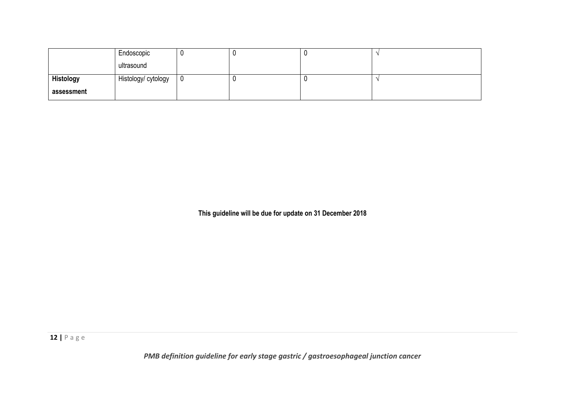|                  | Endoscopic          |    |  |  |
|------------------|---------------------|----|--|--|
|                  | ultrasound          |    |  |  |
| <b>Histology</b> | Histology/ cytology | J. |  |  |
| assessment       |                     |    |  |  |

**This guideline will be due for update on 31 December 2018**

**12 |** P a g e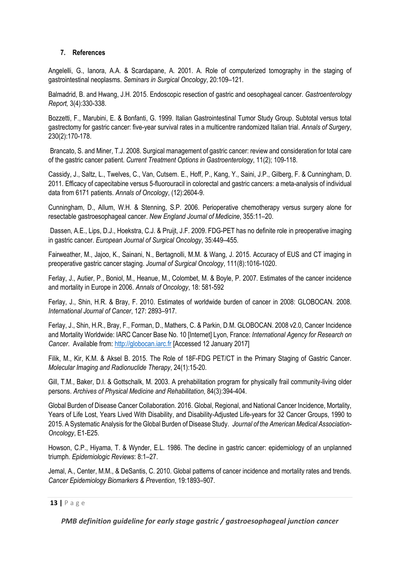#### **7. References**

Angelelli, G., Ianora, A.A. & Scardapane, A. 2001. A. Role of computerized tomography in the staging of gastrointestinal neoplasms. *Seminars in Surgical Oncology*, 20:109–121.

Balmadrid, B. and Hwang, J.H. 2015. Endoscopic resection of gastric and oesophageal cancer. *Gastroenterology Report,* 3(4):330-338.

Bozzetti, F., Marubini, E. & Bonfanti, G. 1999. Italian Gastrointestinal Tumor Study Group. Subtotal versus total gastrectomy for gastric cancer: five-year survival rates in a multicentre randomized Italian trial. *Annals of Surgery*, 230(2):170-178.

Brancato, S. and Miner, T.J. 2008. Surgical management of gastric cancer: review and consideration for total care of the gastric cancer patient. *Current Treatment Options in Gastroenterology*, 11(2); 109-118.

Cassidy, J., Saltz, L., Twelves, C., Van, Cutsem. E., Hoff, P., Kang, Y., Saini, J.P., Gilberg, F. & Cunningham, D. 2011. Efficacy of capecitabine versus 5-fluorouracil in colorectal and gastric cancers: a meta-analysis of individual data from 6171 patients. *Annals of Oncology*, (12):2604-9.

Cunningham, D., Allum, W.H. & Stenning, S.P. 2006. Perioperative chemotherapy versus surgery alone for resectable gastroesophageal cancer. *New England Journal of Medicine*, 355:11–20.

Dassen, A.E., Lips, D.J., Hoekstra, C.J. & Pruijt, J.F. 2009. FDG-PET has no definite role in preoperative imaging in gastric cancer. *European Journal of Surgical Oncology*, 35:449–455.

Fairweather, M., Jajoo, K., Sainani, N., Bertagnolli, M.M. & Wang, J. 2015. Accuracy of EUS and CT imaging in preoperative gastric cancer staging. *Journal of Surgical Oncology*, 111(8):1016-1020.

Ferlay, J., Autier, P., Boniol, M., Heanue, M., Colombet, M. & Boyle, P. 2007. Estimates of the cancer incidence and mortality in Europe in 2006. *Annals of Oncology*, 18: 581-592

Ferlay, J., Shin, H.R. & Bray, F. 2010. Estimates of worldwide burden of cancer in 2008: GLOBOCAN. 2008. *International Journal of Cancer*, 127: 2893–917.

Ferlay, J., Shin, H.R., Bray, F., Forman, D., Mathers, C. & Parkin, D.M. GLOBOCAN. 2008 v2.0, Cancer Incidence and Mortality Worldwide: IARC Cancer Base No. 10 [Internet] Lyon, France: *International Agency for Research on Cancer*. Available from: [http://globocan.iarc.fr](http://globocan.iarc.fr/) [Accessed 12 January 2017]

Filik, M., Kir, K.M. & Aksel B. 2015. The Role of 18F-FDG PET/CT in the Primary Staging of Gastric Cancer. *Molecular Imaging and Radionuclide Therapy*, 24(1):15-20.

Gill, T.M., Baker, D.I. & Gottschalk, M. 2003. A prehabilitation program for physically frail community-living older persons. *Archives of Physical Medicine and Rehabilitation*, 84(3):394-404.

Global Burden of Disease Cancer Collaboration. 2016. Global, Regional, and National Cancer Incidence, Mortality, Years of Life Lost, Years Lived With Disability, and Disability-Adjusted Life-years for 32 Cancer Groups, 1990 to 2015. A Systematic Analysis for the Global Burden of Disease Study. *Journal of the American Medical Association-Oncology*, E1-E25.

Howson, C.P., Hiyama, T. & Wynder, E.L. 1986. The decline in gastric cancer: epidemiology of an unplanned triumph. *Epidemiologic Reviews*: 8:1–27.

Jemal, A., Center, M.M., & DeSantis, C. 2010. Global patterns of cancer incidence and mortality rates and trends. *Cancer Epidemiology Biomarkers & Prevention*, 19:1893–907.

#### **13 |** P a g e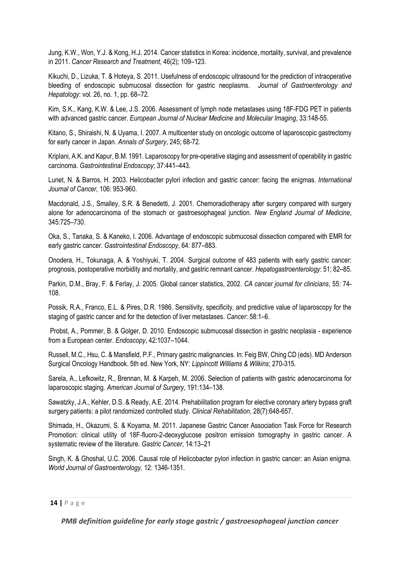Jung, K.W., Won, Y.J. & Kong, H.J. 2014. Cancer statistics in Korea: incidence, mortality, survival, and prevalence in 2011. *Cancer Research and Treatment*, 46(2); 109–123.

Kikuchi, D., Lizuka, T. & Hoteya, S. 2011. Usefulness of endoscopic ultrasound for the prediction of intraoperative bleeding of endoscopic submucosal dissection for gastric neoplasms. *Journal of Gastroenterology and Hepatology*: vol. 26, no. 1, pp. 68–72.

Kim, S.K., Kang, K.W. & Lee, J.S. 2006. Assessment of lymph node metastases using 18F-FDG PET in patients with advanced gastric cancer. *European Journal of Nuclear Medicine and Molecular Imaging*, 33:148-55.

Kitano, S., Shiraishi, N. & Uyama, I. 2007. A multicenter study on oncologic outcome of laparoscopic gastrectomy for early cancer in Japan. *Annals of Surgery*, 245; 68-72.

Kriplani, A.K. and Kapur, B.M. 1991. Laparoscopy for pre-operative staging and assessment of operability in gastric carcinoma. *Gastrointestinal Endoscopy*; 37:441–443.

Lunet, N. & Barros, H. 2003. Helicobacter pylori infection and gastric cancer: facing the enigmas. *International Journal of Cancer,* 106: 953-960.

Macdonald, J.S., Smalley, S.R. & Benedetti, J. 2001. Chemoradiotherapy after surgery compared with surgery alone for adenocarcinoma of the stomach or gastroesophageal junction. *New England Journal of Medicine*, 345:725–730.

Oka, S., Tanaka, S. & Kaneko, I. 2006. Advantage of endoscopic submucosal dissection compared with EMR for early gastric cancer. *Gastrointestinal Endoscopy*, 64: 877–883.

Onodera, H., Tokunaga, A. & Yoshiyuki, T. 2004. Surgical outcome of 483 patients with early gastric cancer: prognosis, postoperative morbidity and mortality, and gastric remnant cancer. *Hepatogastroenterology*: 51; 82–85.

Parkin, D.M., Bray, F. & Ferlay, J. 2005. Global cancer statistics, 2002. *CA cancer journal for clinicians*, 55: 74- 108.

Possik, R.A., Franco, E.L. & Pires, D.R. 1986. Sensitivity, specificity, and predictive value of laparoscopy for the staging of gastric cancer and for the detection of liver metastases. *Cancer*: 58:1–6.

Probst, A., Pommer, B. & Golger, D. 2010. Endoscopic submucosal dissection in gastric neoplasia - experience from a European center. *Endoscopy*, 42:1037–1044.

Russell, M.C., Hsu, C. & Mansfield, P.F., Primary gastric malignancies. In: Feig BW, Ching CD (eds). MD Anderson Surgical Oncology Handbook. 5th ed. New York, NY: *Lippincott Williams & Wilkins*; 270-315.

Sarela, A., Lefkowitz, R., Brennan, M. & Karpeh, M. 2006. Selection of patients with gastric adenocarcinoma for laparoscopic staging. *American Journal of Surgery*, 191:134–138.

Sawatzky, J.A., Kehler, D.S. & Ready, A.E. 2014. Prehabilitation program for elective coronary artery bypass graft surgery patients: a pilot randomized controlled study. *Clinical Rehabilitation*, 28(7):648-657.

Shimada, H., Okazumi, S. & Koyama, M. 2011. Japanese Gastric Cancer Association Task Force for Research Promotion: clinical utility of 18F-fluoro-2-deoxyglucose positron emission tomography in gastric cancer. A systematic review of the literature. *Gastric Cancer*, 14:13–21

Singh, K. & Ghoshal, U.C. 2006. Causal role of Helicobacter pylori infection in gastric cancer: an Asian enigma. *World Journal of Gastroenterology,* 12: 1346-1351.

#### **14 |** P a g e